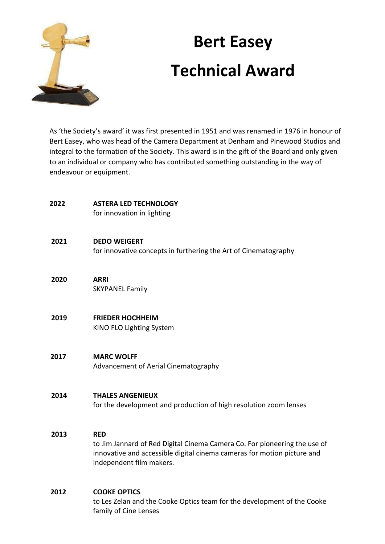

# **Bert Easey Technical Award**

As 'the Society's award' it was first presented in 1951 and was renamed in 1976 in honour of Bert Easey, who was head of the Camera Department at Denham and Pinewood Studios and integral to the formation of the Society. This award is in the gift of the Board and only given to an individual or company who has contributed something outstanding in the way of endeavour or equipment.

| 2022 | <b>ASTERA LED TECHNOLOGY</b><br>for innovation in lighting                                                                                                                                     |
|------|------------------------------------------------------------------------------------------------------------------------------------------------------------------------------------------------|
| 2021 | <b>DEDO WEIGERT</b><br>for innovative concepts in furthering the Art of Cinematography                                                                                                         |
| 2020 | <b>ARRI</b><br><b>SKYPANEL Family</b>                                                                                                                                                          |
| 2019 | <b>FRIEDER HOCHHEIM</b><br>KINO FLO Lighting System                                                                                                                                            |
| 2017 | <b>MARC WOLFF</b><br>Advancement of Aerial Cinematography                                                                                                                                      |
| 2014 | <b>THALES ANGENIEUX</b><br>for the development and production of high resolution zoom lenses                                                                                                   |
| 2013 | <b>RED</b><br>to Jim Jannard of Red Digital Cinema Camera Co. For pioneering the use of<br>innovative and accessible digital cinema cameras for motion picture and<br>independent film makers. |
| 2012 | <b>COOKE OPTICS</b><br>to Les Zelan and the Cooke Optics team for the development of the Cooke<br>family of Cine Lenses                                                                        |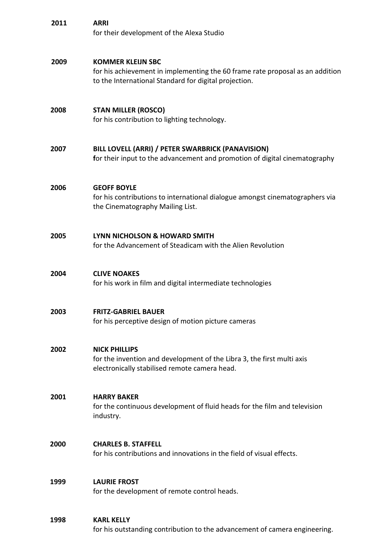| 2011 | <b>ARRI</b><br>for their development of the Alexa Studio                                                                                                           |
|------|--------------------------------------------------------------------------------------------------------------------------------------------------------------------|
| 2009 | <b>KOMMER KLEIJN SBC</b><br>for his achievement in implementing the 60 frame rate proposal as an addition<br>to the International Standard for digital projection. |
| 2008 | <b>STAN MILLER (ROSCO)</b><br>for his contribution to lighting technology.                                                                                         |
| 2007 | BILL LOVELL (ARRI) / PETER SWARBRICK (PANAVISION)<br>for their input to the advancement and promotion of digital cinematography                                    |
| 2006 | <b>GEOFF BOYLE</b><br>for his contributions to international dialogue amongst cinematographers via<br>the Cinematography Mailing List.                             |
| 2005 | LYNN NICHOLSON & HOWARD SMITH<br>for the Advancement of Steadicam with the Alien Revolution                                                                        |
| 2004 | <b>CLIVE NOAKES</b><br>for his work in film and digital intermediate technologies                                                                                  |
| 2003 | <b>FRITZ-GABRIEL BAUER</b><br>for his perceptive design of motion picture cameras                                                                                  |
| 2002 | <b>NICK PHILLIPS</b><br>for the invention and development of the Libra 3, the first multi axis<br>electronically stabilised remote camera head.                    |
| 2001 | <b>HARRY BAKER</b><br>for the continuous development of fluid heads for the film and television<br>industry.                                                       |
| 2000 | <b>CHARLES B. STAFFELL</b><br>for his contributions and innovations in the field of visual effects.                                                                |
| 1999 | <b>LAURIE FROST</b><br>for the development of remote control heads.                                                                                                |
| 1998 | <b>KARL KELLY</b><br>for his outstanding contribution to the advancement of camera engineering.                                                                    |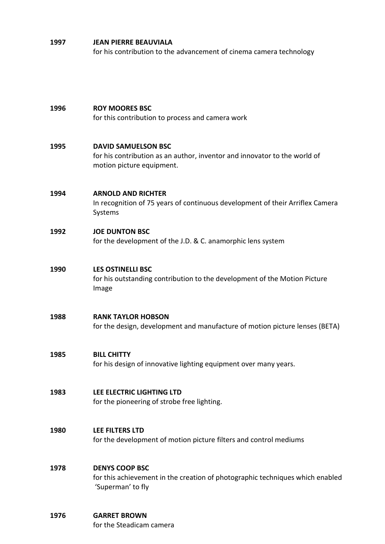#### **1997 JEAN PIERRE BEAUVIALA**

for his contribution to the advancement of cinema camera technology

# **1996 ROY MOORES BSC** for this contribution to process and camera work **1995 DAVID SAMUELSON BSC** for his contribution as an author, inventor and innovator to the world of motion picture equipment. **1994 ARNOLD AND RICHTER** In recognition of 75 years of continuous development of their Arriflex Camera Systems **1992 JOE DUNTON BSC** for the development of the J.D. & C. anamorphic lens system **1990 LES OSTINELLI BSC** for his outstanding contribution to the development of the Motion Picture Image **1988 RANK TAYLOR HOBSON** for the design, development and manufacture of motion picture lenses (BETA) **1985 BILL CHITTY** for his design of innovative lighting equipment over many years. **1983 LEE ELECTRIC LIGHTING LTD** for the pioneering of strobe free lighting. **1980 LEE FILTERS LTD** for the development of motion picture filters and control mediums **1978 DENYS COOP BSC** for this achievement in the creation of photographic techniques which enabled 'Superman' to fly **1976 GARRET BROWN**

for the Steadicam camera